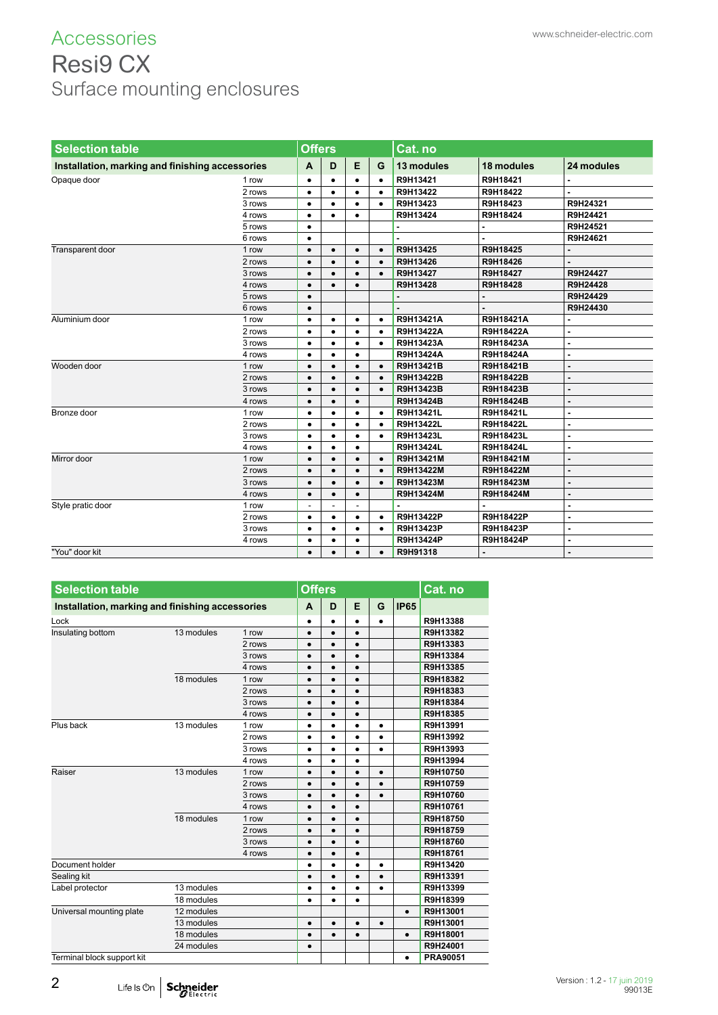### ACCESSOTIES www.schneider-electric.com Resi9 CX Surface mounting enclosures

| <b>Selection table</b>                          |        |                          | <b>Offers</b>  |                          |           | Cat. no    |            |                |  |
|-------------------------------------------------|--------|--------------------------|----------------|--------------------------|-----------|------------|------------|----------------|--|
| Installation, marking and finishing accessories |        | A                        | D              | E                        | G         | 13 modules | 18 modules | 24 modules     |  |
| Opaque door                                     | 1 row  | ٠                        | ٠              | $\bullet$                | $\bullet$ | R9H13421   | R9H18421   |                |  |
|                                                 | 2 rows | $\bullet$                | $\bullet$      | $\bullet$                | $\bullet$ | R9H13422   | R9H18422   |                |  |
|                                                 | 3 rows | $\bullet$                | $\bullet$      | $\bullet$                | $\bullet$ | R9H13423   | R9H18423   | R9H24321       |  |
|                                                 | 4 rows | $\bullet$                | $\bullet$      | $\bullet$                |           | R9H13424   | R9H18424   | R9H24421       |  |
|                                                 | 5 rows | $\bullet$                |                |                          |           |            |            | R9H24521       |  |
|                                                 | 6 rows | ٠                        |                |                          |           |            |            | R9H24621       |  |
| Transparent door                                | 1 row  | $\bullet$                | $\bullet$      | $\bullet$                | $\bullet$ | R9H13425   | R9H18425   |                |  |
|                                                 | 2 rows | $\bullet$                | $\bullet$      | $\bullet$                | $\bullet$ | R9H13426   | R9H18426   |                |  |
|                                                 | 3 rows | $\bullet$                | $\bullet$      | $\bullet$                | $\bullet$ | R9H13427   | R9H18427   | R9H24427       |  |
|                                                 | 4 rows | $\bullet$                | $\bullet$      | $\bullet$                |           | R9H13428   | R9H18428   | R9H24428       |  |
|                                                 | 5 rows | $\bullet$                |                |                          |           |            |            | R9H24429       |  |
|                                                 | 6 rows | $\bullet$                |                |                          |           |            |            | R9H24430       |  |
| Aluminium door                                  | 1 row  | $\bullet$                | $\bullet$      | ٠                        | $\bullet$ | R9H13421A  | R9H18421A  | $\blacksquare$ |  |
|                                                 | 2 rows | $\bullet$                | $\bullet$      | $\bullet$                | $\bullet$ | R9H13422A  | R9H18422A  | $\blacksquare$ |  |
|                                                 | 3 rows | $\bullet$                | $\bullet$      | $\bullet$                | $\bullet$ | R9H13423A  | R9H18423A  | $\blacksquare$ |  |
|                                                 | 4 rows | $\bullet$                | $\bullet$      | $\bullet$                |           | R9H13424A  | R9H18424A  |                |  |
| Wooden door                                     | 1 row  | $\bullet$                | $\bullet$      | $\bullet$                | $\bullet$ | R9H13421B  | R9H18421B  |                |  |
|                                                 | 2 rows | $\bullet$                | $\bullet$      | $\bullet$                | $\bullet$ | R9H13422B  | R9H18422B  |                |  |
|                                                 | 3 rows | $\bullet$                | $\bullet$      | $\bullet$                | $\bullet$ | R9H13423B  | R9H18423B  |                |  |
|                                                 | 4 rows | $\bullet$                |                | $\bullet$                |           | R9H13424B  | R9H18424B  | $\blacksquare$ |  |
| Bronze door                                     | 1 row  | ٠                        | ٠              | ٠                        | $\bullet$ | R9H13421L  | R9H18421L  | $\blacksquare$ |  |
|                                                 | 2 rows | $\bullet$                | $\bullet$      | $\bullet$                | $\bullet$ | R9H13422L  | R9H18422L  | $\blacksquare$ |  |
|                                                 | 3 rows | $\bullet$                | $\bullet$      | $\bullet$                | $\bullet$ | R9H13423L  | R9H18423L  | $\blacksquare$ |  |
|                                                 | 4 rows | $\bullet$                | $\bullet$      | ٠                        |           | R9H13424L  | R9H18424L  | $\blacksquare$ |  |
| Mirror door                                     | 1 row  | $\bullet$                | $\bullet$      | $\bullet$                | $\bullet$ | R9H13421M  | R9H18421M  | $\blacksquare$ |  |
|                                                 | 2 rows | $\bullet$                | $\bullet$      | $\bullet$                | $\bullet$ | R9H13422M  | R9H18422M  | $\blacksquare$ |  |
|                                                 | 3 rows | $\bullet$                | $\bullet$      | $\bullet$                | $\bullet$ | R9H13423M  | R9H18423M  | $\blacksquare$ |  |
|                                                 | 4 rows | $\bullet$                | $\bullet$      | $\bullet$                |           | R9H13424M  | R9H18424M  |                |  |
| Style pratic door                               | 1 row  | $\overline{\phantom{a}}$ | $\overline{a}$ | $\overline{\phantom{a}}$ |           |            |            |                |  |
|                                                 | 2 rows | $\bullet$                | $\bullet$      | $\bullet$                | $\bullet$ | R9H13422P  | R9H18422P  | $\overline{a}$ |  |
|                                                 | 3 rows | $\bullet$                | $\bullet$      | $\bullet$                | $\bullet$ | R9H13423P  | R9H18423P  | $\blacksquare$ |  |
|                                                 | 4 rows | ٠                        | $\bullet$      | $\bullet$                |           | R9H13424P  | R9H18424P  |                |  |
| "You" door kit                                  |        | $\bullet$                | $\bullet$      | $\bullet$                | $\bullet$ | R9H91318   |            | $\blacksquare$ |  |

| <b>Selection table</b>                          |            |        | <b>Offers</b> |           |           |           |             | Cat. no         |
|-------------------------------------------------|------------|--------|---------------|-----------|-----------|-----------|-------------|-----------------|
| Installation, marking and finishing accessories |            |        | A             | D         | Е         | G         | <b>IP65</b> |                 |
| Lock                                            |            |        | ٠             | $\bullet$ | ٠         | $\bullet$ |             | R9H13388        |
| Insulating bottom                               | 13 modules | 1 row  | $\bullet$     | $\bullet$ | $\bullet$ |           |             | R9H13382        |
|                                                 |            | 2 rows | $\bullet$     | $\bullet$ | $\bullet$ |           |             | R9H13383        |
|                                                 |            | 3 rows | $\bullet$     | ٠         | $\bullet$ |           |             | R9H13384        |
|                                                 |            | 4 rows | $\bullet$     | $\bullet$ | $\bullet$ |           |             | R9H13385        |
|                                                 | 18 modules | 1 row  | $\bullet$     | $\bullet$ | $\bullet$ |           |             | R9H18382        |
|                                                 |            | 2 rows | $\bullet$     | $\bullet$ | $\bullet$ |           |             | R9H18383        |
|                                                 |            | 3 rows | $\bullet$     | $\bullet$ | $\bullet$ |           |             | R9H18384        |
|                                                 |            | 4 rows | $\bullet$     | $\bullet$ | $\bullet$ |           |             | R9H18385        |
| Plus back                                       | 13 modules | 1 row  | ٠             | ٠         | ٠         | ٠         |             | R9H13991        |
|                                                 |            | 2 rows | $\bullet$     | $\bullet$ | $\bullet$ | $\bullet$ |             | R9H13992        |
|                                                 |            | 3 rows | $\bullet$     | $\bullet$ | $\bullet$ |           |             | R9H13993        |
|                                                 |            | 4 rows | $\bullet$     | $\bullet$ | ٠         |           |             | R9H13994        |
| Raiser                                          | 13 modules | 1 row  | $\bullet$     | $\bullet$ | $\bullet$ | $\bullet$ |             | R9H10750        |
|                                                 |            | 2 rows | $\bullet$     | $\bullet$ | $\bullet$ | $\bullet$ |             | R9H10759        |
|                                                 |            | 3 rows | $\bullet$     | $\bullet$ | $\bullet$ |           |             | R9H10760        |
|                                                 |            | 4 rows | $\bullet$     | $\bullet$ | $\bullet$ |           |             | R9H10761        |
|                                                 | 18 modules | 1 row  | $\bullet$     | $\bullet$ | $\bullet$ |           |             | R9H18750        |
|                                                 |            | 2 rows | $\bullet$     | $\bullet$ | $\bullet$ |           |             | R9H18759        |
|                                                 |            | 3 rows | $\bullet$     | $\bullet$ | $\bullet$ |           |             | R9H18760        |
|                                                 |            | 4 rows | $\bullet$     | $\bullet$ | $\bullet$ |           |             | R9H18761        |
| Document holder                                 |            |        | $\bullet$     | ٠         | $\bullet$ | $\bullet$ |             | R9H13420        |
| Sealing kit                                     |            |        | $\bullet$     | $\bullet$ | $\bullet$ | $\bullet$ |             | R9H13391        |
| Label protector                                 | 13 modules |        | $\bullet$     | $\bullet$ | $\bullet$ | ٠         |             | R9H13399        |
|                                                 | 18 modules |        | $\bullet$     | $\bullet$ | ٠         |           |             | R9H18399        |
| Universal mounting plate                        | 12 modules |        |               |           |           |           | $\bullet$   | R9H13001        |
|                                                 | 13 modules |        | $\bullet$     | $\bullet$ | $\bullet$ | $\bullet$ |             | R9H13001        |
|                                                 | 18 modules |        | $\bullet$     | $\bullet$ | $\bullet$ |           | $\bullet$   | R9H18001        |
|                                                 | 24 modules |        | $\bullet$     |           |           |           |             | R9H24001        |
| Terminal block support kit                      |            |        |               |           |           |           | $\bullet$   | <b>PRA90051</b> |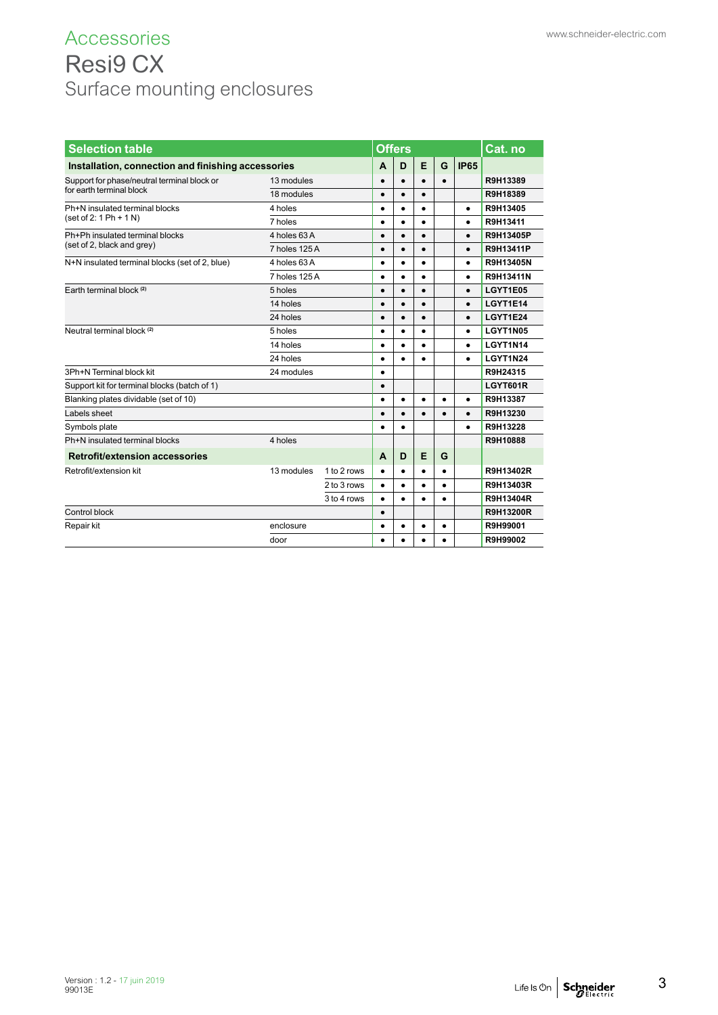# Accessories www.schneider-electric.com Resi9 CX Surface mounting enclosures

| <b>Selection table</b>                             |               |             |           |           |           | <b>Cat.</b> no |             |                  |
|----------------------------------------------------|---------------|-------------|-----------|-----------|-----------|----------------|-------------|------------------|
| Installation, connection and finishing accessories |               |             | A         | D         | E         | G              | <b>IP65</b> |                  |
| Support for phase/neutral terminal block or        | 13 modules    |             | $\bullet$ |           | $\bullet$ | $\bullet$      |             | R9H13389         |
| for earth terminal block                           | 18 modules    |             | $\bullet$ | $\bullet$ | $\bullet$ |                |             | R9H18389         |
| Ph+N insulated terminal blocks                     | 4 holes       |             | $\bullet$ | $\bullet$ | $\bullet$ |                | $\bullet$   | R9H13405         |
| $(set of 2: 1 Ph + 1 N)$                           | 7 holes       |             | $\bullet$ |           | $\bullet$ |                | $\bullet$   | R9H13411         |
| Ph+Ph insulated terminal blocks                    | 4 holes 63 A  |             | $\bullet$ |           | $\bullet$ |                | $\bullet$   | R9H13405P        |
| (set of 2, black and grey)                         | 7 holes 125 A |             | $\bullet$ |           | $\bullet$ |                | $\bullet$   | R9H13411P        |
| N+N insulated terminal blocks (set of 2, blue)     | 4 holes 63 A  |             | $\bullet$ | $\bullet$ | $\bullet$ |                | $\bullet$   | R9H13405N        |
|                                                    | 7 holes 125 A |             | $\bullet$ |           | $\bullet$ |                | $\bullet$   | R9H13411N        |
| Earth terminal block (2)                           | 5 holes       |             | $\bullet$ |           | $\bullet$ |                | $\bullet$   | LGYT1E05         |
|                                                    | 14 holes      |             | $\bullet$ |           | $\bullet$ |                | $\bullet$   | LGYT1E14         |
|                                                    | 24 holes      | $\bullet$   |           | $\bullet$ |           | $\bullet$      | LGYT1E24    |                  |
| Neutral terminal block <sup>(2)</sup>              | 5 holes       | $\bullet$   |           | $\bullet$ |           | $\bullet$      | LGYT1N05    |                  |
|                                                    | 14 holes      |             | $\bullet$ |           | $\bullet$ |                | $\bullet$   | LGYT1N14         |
|                                                    | 24 holes      |             | $\bullet$ |           | $\bullet$ |                | $\bullet$   | LGYT1N24         |
| 3Ph+N Terminal block kit                           | 24 modules    |             | $\bullet$ |           |           |                |             | R9H24315         |
| Support kit for terminal blocks (batch of 1)       |               |             | $\bullet$ |           |           |                |             | LGYT601R         |
| Blanking plates dividable (set of 10)              |               |             | $\bullet$ |           |           | $\bullet$      | $\bullet$   | R9H13387         |
| Labels sheet                                       |               |             | $\bullet$ | $\bullet$ | $\bullet$ | $\bullet$      | $\bullet$   | R9H13230         |
| Symbols plate                                      |               |             | $\bullet$ | $\bullet$ |           |                | $\bullet$   | R9H13228         |
| Ph+N insulated terminal blocks                     | 4 holes       |             |           |           |           |                |             | R9H10888         |
| <b>Retrofit/extension accessories</b>              |               |             | A         | D         | E         | G              |             |                  |
| Retrofit/extension kit                             | 13 modules    | 1 to 2 rows | $\bullet$ |           | $\bullet$ | $\bullet$      |             | R9H13402R        |
|                                                    |               | 2 to 3 rows | $\bullet$ | $\bullet$ | $\bullet$ | $\bullet$      |             | R9H13403R        |
|                                                    |               | 3 to 4 rows | $\bullet$ |           | $\bullet$ | $\bullet$      |             | R9H13404R        |
| Control block                                      |               |             | $\bullet$ |           |           |                |             | <b>R9H13200R</b> |
| Repair kit                                         | enclosure     |             | $\bullet$ |           | $\bullet$ | $\bullet$      |             | R9H99001         |
|                                                    | door          | $\bullet$   |           | $\bullet$ | $\bullet$ |                | R9H99002    |                  |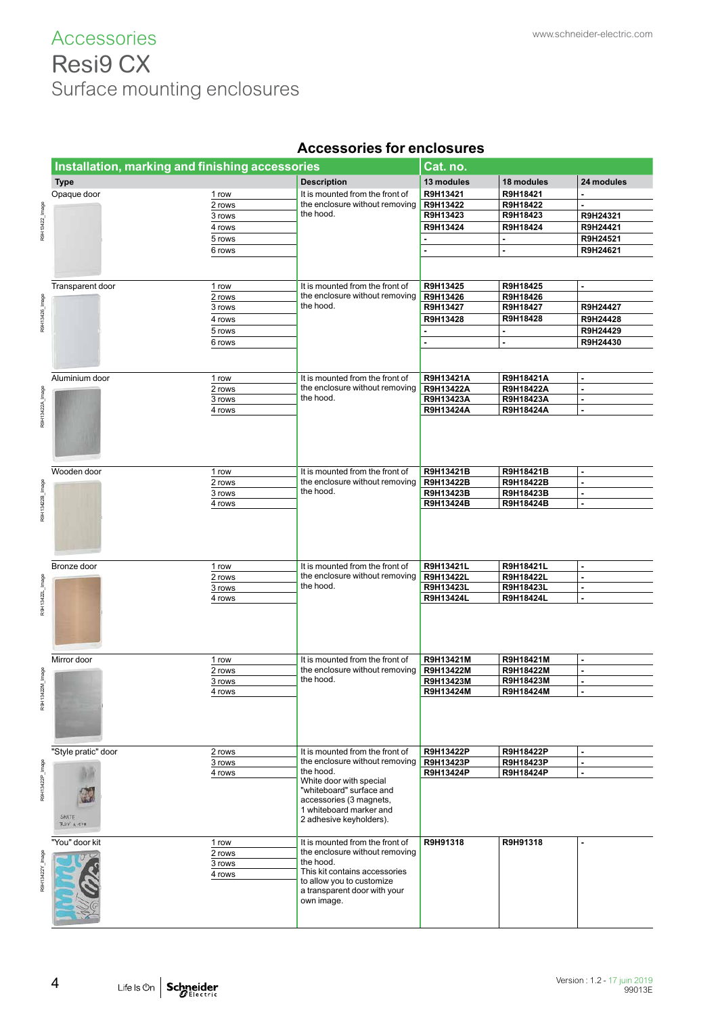# ACCESSOTIES www.schneider-electric.com Resi9 CX Surface mounting enclosures

|                 |                                                 |        | UUUUUIIVU IVI                               | 1719991 VY |                |                |
|-----------------|-------------------------------------------------|--------|---------------------------------------------|------------|----------------|----------------|
|                 | Installation, marking and finishing accessories |        |                                             | Cat. no.   |                |                |
|                 | <b>Type</b>                                     |        | <b>Description</b>                          | 13 modules | 18 modules     | 24 modules     |
|                 |                                                 |        |                                             |            |                |                |
|                 | Opaque door                                     | 1 row  | It is mounted from the front of             | R9H13421   | R9H18421       |                |
|                 |                                                 | 2 rows | the enclosure without removing<br>the hood. | R9H13422   | R9H18422       |                |
|                 |                                                 | 3 rows |                                             | R9H13423   | R9H18423       | R9H24321       |
| R9H13422_Image  |                                                 | 4 rows |                                             | R9H13424   | R9H18424       | R9H24421       |
|                 |                                                 | 5 rows |                                             |            | $\blacksquare$ | R9H24521       |
|                 |                                                 | 6 rows |                                             |            | ÷,             | R9H24621       |
|                 |                                                 |        |                                             |            |                |                |
|                 |                                                 |        |                                             |            |                |                |
|                 |                                                 |        |                                             |            |                |                |
|                 | Transparent door                                | 1 row  | It is mounted from the front of             | R9H13425   | R9H18425       | ٠              |
|                 |                                                 | 2 rows | the enclosure without removing              | R9H13426   | R9H18426       |                |
| R9H13426_Image  |                                                 | 3 rows | the hood.                                   | R9H13427   | R9H18427       | R9H24427       |
|                 |                                                 | 4 rows |                                             | R9H13428   | R9H18428       | R9H24428       |
|                 |                                                 | 5 rows |                                             |            | ä,             | R9H24429       |
|                 |                                                 | 6 rows |                                             | ٠          | ä,             | R9H24430       |
|                 |                                                 |        |                                             |            |                |                |
|                 |                                                 |        |                                             |            |                |                |
|                 |                                                 |        |                                             |            |                |                |
|                 | Aluminium door                                  | 1 row  | It is mounted from the front of             | R9H13421A  | R9H18421A      | $\blacksquare$ |
|                 |                                                 | 2 rows | the enclosure without removing              | R9H13422A  | R9H18422A      | $\blacksquare$ |
|                 |                                                 | 3 rows | the hood.                                   | R9H13423A  | R9H18423A      | ٠              |
| RBH13422A Image |                                                 | 4 rows |                                             | R9H13424A  | R9H18424A      | ÷.             |
|                 |                                                 |        |                                             |            |                |                |
|                 |                                                 |        |                                             |            |                |                |
|                 |                                                 |        |                                             |            |                |                |
|                 |                                                 |        |                                             |            |                |                |
|                 |                                                 |        |                                             |            |                |                |
|                 |                                                 |        |                                             |            |                |                |
|                 | Wooden door                                     | 1 row  | It is mounted from the front of             | R9H13421B  | R9H18421B      |                |
|                 |                                                 | 2 rows | the enclosure without removing              | R9H13422B  | R9H18422B      | ä,             |
|                 |                                                 | 3 rows | the hood.                                   | R9H13423B  | R9H18423B      | ٠              |
|                 |                                                 | 4 rows |                                             | R9H13424B  | R9H18424B      | ÷.             |
| R9H13422B_Image |                                                 |        |                                             |            |                |                |
|                 |                                                 |        |                                             |            |                |                |
|                 |                                                 |        |                                             |            |                |                |
|                 |                                                 |        |                                             |            |                |                |
|                 |                                                 |        |                                             |            |                |                |
|                 | Bronze door                                     |        | It is mounted from the front of             | R9H13421L  | R9H18421L      | $\blacksquare$ |
|                 |                                                 | 1 row  |                                             |            |                |                |
|                 |                                                 | 2 rows | the enclosure without removing              | R9H13422L  | R9H18422L      | ٠              |
|                 |                                                 | 3 rows | the hood.                                   | R9H13423L  | R9H18423L      | $\blacksquare$ |
|                 |                                                 | 4 rows |                                             | R9H13424L  | R9H18424L      | $\blacksquare$ |
| R9H13422L_Image |                                                 |        |                                             |            |                |                |
|                 |                                                 |        |                                             |            |                |                |
|                 |                                                 |        |                                             |            |                |                |
|                 |                                                 |        |                                             |            |                |                |
|                 |                                                 |        |                                             |            |                |                |
|                 | Mirror door                                     | 1 row  | It is mounted from the front of             | R9H13421M  | R9H18421M      | ä,             |
|                 |                                                 | 2 rows | the enclosure without removing              | R9H13422M  | R9H18422M      | ÷.             |
| pem_Mz          |                                                 | 3 rows | the hood.                                   | R9H13423M  | R9H18423M      | $\overline{a}$ |
|                 |                                                 |        |                                             | R9H13424M  | R9H18424M      |                |
|                 |                                                 | 4 rows |                                             |            |                |                |
|                 |                                                 |        |                                             |            |                |                |
|                 |                                                 |        |                                             |            |                |                |
|                 |                                                 |        |                                             |            |                |                |
|                 |                                                 |        |                                             |            |                |                |
|                 |                                                 |        | It is mounted from the front of             |            |                |                |
|                 | "Style pratic" door                             | 2 rows |                                             | R9H13422P  | R9H18422P      | ۰              |
|                 |                                                 | 3 rows | the enclosure without removing              | R9H13423P  | R9H18423P      | $\blacksquare$ |
|                 |                                                 | 4 rows | the hood.                                   | R9H13424P  | R9H18424P      | ۰              |
|                 |                                                 |        | White door with special                     |            |                |                |
| R9H13422P_Image |                                                 |        | "whiteboard" surface and                    |            |                |                |
|                 |                                                 |        | accessories (3 magnets,                     |            |                |                |
|                 | SKATE                                           |        | 1 whiteboard marker and                     |            |                |                |
|                 | RDY A 47#                                       |        | 2 adhesive keyholders).                     |            |                |                |
|                 |                                                 |        |                                             |            |                |                |
|                 | "You" door kit                                  | 1 row  | It is mounted from the front of             | R9H91318   | R9H91318       |                |
|                 |                                                 | 2 rows | the enclosure without removing              |            |                |                |
|                 |                                                 | 3 rows | the hood.                                   |            |                |                |
|                 |                                                 | 4 rows | This kit contains accessories               |            |                |                |
|                 |                                                 |        | to allow you to customize                   |            |                |                |
|                 |                                                 |        | a transparent door with your                |            |                |                |
|                 |                                                 |        | own image.                                  |            |                |                |
|                 |                                                 |        |                                             |            |                |                |
|                 |                                                 |        |                                             |            |                |                |

### **Accessories for enclosures**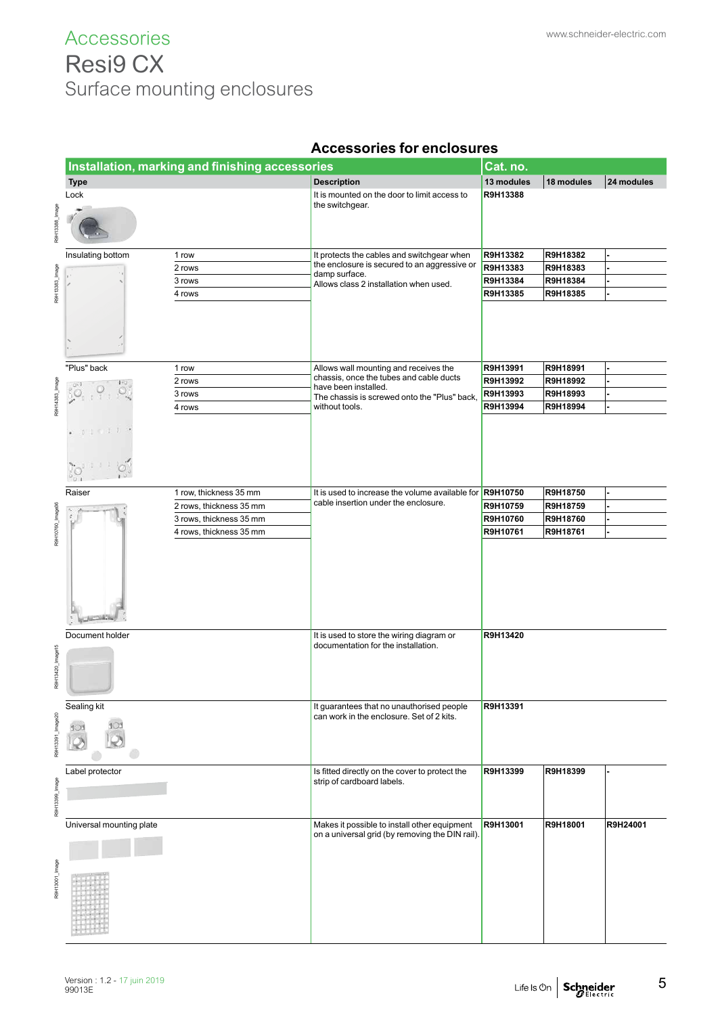# Accessories www.schneider-electric.com Resi9 CX Surface mounting enclosures

|                  |                          | Installation, marking and finishing accessories |                                                                                                 | Cat. no.   |            |            |
|------------------|--------------------------|-------------------------------------------------|-------------------------------------------------------------------------------------------------|------------|------------|------------|
|                  | <b>Type</b>              |                                                 | <b>Description</b>                                                                              | 13 modules | 18 modules | 24 modules |
|                  | Lock                     |                                                 | It is mounted on the door to limit access to                                                    | R9H13388   |            |            |
| saeml_886        |                          |                                                 | the switchgear.                                                                                 |            |            |            |
|                  |                          |                                                 |                                                                                                 |            |            |            |
|                  | Insulating bottom        | 1 row                                           | It protects the cables and switchgear when                                                      | R9H13382   | R9H18382   |            |
|                  |                          | 2 rows                                          | the enclosure is secured to an aggressive or                                                    | R9H13383   | R9H18383   |            |
|                  |                          | 3 rows                                          | damp surface.<br>Allows class 2 installation when used.                                         | R9H13384   | R9H18384   |            |
| R9H13383_Image   |                          | 4 rows                                          |                                                                                                 | R9H13385   | R9H18385   |            |
|                  |                          |                                                 |                                                                                                 |            |            |            |
|                  | "Plus" back              | 1 row                                           | Allows wall mounting and receives the                                                           | R9H13991   | R9H18991   |            |
|                  |                          | 2 rows                                          | chassis, once the tubes and cable ducts                                                         | R9H13992   | R9H18992   |            |
|                  | 30.7                     | 3 rows                                          | have been installed.                                                                            | R9H13993   | R9H18993   |            |
| R9H14383_Image   |                          | 4 rows                                          | The chassis is screwed onto the "Plus" back,<br>without tools.                                  | R9H13994   | R9H18994   |            |
|                  |                          |                                                 |                                                                                                 |            |            |            |
|                  | Raiser                   | 1 row, thickness 35 mm                          | It is used to increase the volume available for R9H10750                                        |            | R9H18750   |            |
|                  |                          | 2 rows, thickness 35 mm                         | cable insertion under the enclosure.                                                            | R9H10759   | R9H18759   |            |
|                  |                          | 3 rows, thickness 35 mm                         |                                                                                                 | R9H10760   | R9H18760   |            |
| R9H10760_Image36 |                          | 4 rows, thickness 35 mm                         |                                                                                                 | R9H10761   | R9H18761   |            |
|                  |                          |                                                 |                                                                                                 |            |            |            |
|                  | Document holder          |                                                 | It is used to store the wiring diagram or                                                       | R9H13420   |            |            |
| R9H13420_Image15 |                          |                                                 | documentation for the installation.                                                             |            |            |            |
|                  | Sealing kit              |                                                 | It guarantees that no unauthorised people                                                       | R9H13391   |            |            |
| 391_Image20      | 10.                      |                                                 | can work in the enclosure. Set of 2 kits.                                                       |            |            |            |
|                  | Label protector          |                                                 | Is fitted directly on the cover to protect the                                                  | R9H13399   | R9H18399   |            |
|                  |                          |                                                 | strip of cardboard labels.                                                                      |            |            |            |
| R9H13399_Image   |                          |                                                 |                                                                                                 |            |            |            |
|                  |                          |                                                 |                                                                                                 |            |            |            |
|                  | Universal mounting plate |                                                 | Makes it possible to install other equipment<br>on a universal grid (by removing the DIN rail). | R9H13001   | R9H18001   | R9H24001   |
|                  |                          |                                                 |                                                                                                 |            |            |            |
| R9H13001_Image   |                          |                                                 |                                                                                                 |            |            |            |
|                  |                          |                                                 |                                                                                                 |            |            |            |

#### **Accessories for enclosures**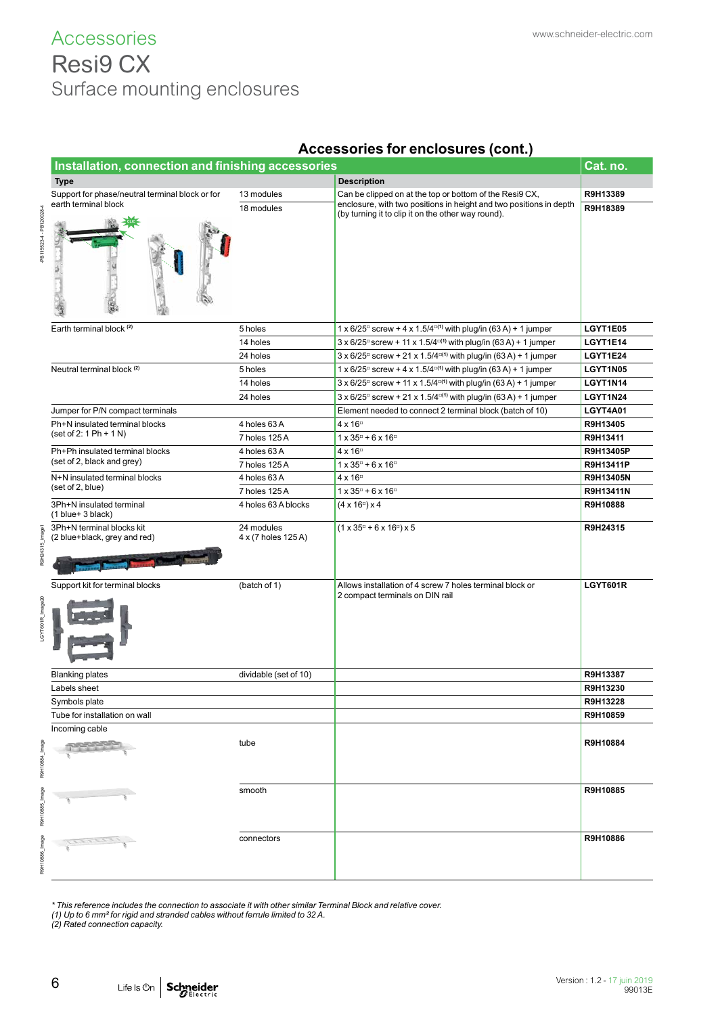### **Accessories** Resi9 CX Surface mounting enclosures

|                         | Installation, connection and finishing accessories        |                                   |                                                                                                                      |           |  |  |  |  |
|-------------------------|-----------------------------------------------------------|-----------------------------------|----------------------------------------------------------------------------------------------------------------------|-----------|--|--|--|--|
|                         | <b>Type</b>                                               |                                   | <b>Description</b>                                                                                                   |           |  |  |  |  |
|                         | Support for phase/neutral terminal block or for           | 13 modules                        | Can be clipped on at the top or bottom of the Resi9 CX,                                                              | R9H13389  |  |  |  |  |
|                         | earth terminal block                                      | 18 modules                        | enclosure, with two positions in height and two positions in depth                                                   | R9H18389  |  |  |  |  |
| PB115523-4 - PB120028-4 |                                                           |                                   | (by turning it to clip it on the other way round).                                                                   |           |  |  |  |  |
|                         | Earth terminal block (2)                                  | 5 holes                           | 1 x 6/25 <sup><math>\text{d}</math></sup> screw + 4 x 1.5/4 $\text{d}$ <sup>1</sup> ) with plug/in (63 A) + 1 jumper | LGYT1E05  |  |  |  |  |
|                         |                                                           | 14 holes                          | $3 \times 6/25$ screw + 11 x 1.5/4 <sup>o(1)</sup> with plug/in (63 A) + 1 jumper                                    | LGYT1E14  |  |  |  |  |
|                         |                                                           | 24 holes                          | 3 x 6/25 <sup>°</sup> screw + 21 x 1.5/4 <sup>°</sup> (1) with plug/in (63 A) + 1 jumper                             | LGYT1E24  |  |  |  |  |
|                         | Neutral terminal block <sup>(2)</sup>                     | 5 holes                           | 1 x 6/25 <sup>°</sup> screw + 4 x 1.5/4 <sup>°</sup> (1) with plug/in (63 A) + 1 jumper                              | LGYT1N05  |  |  |  |  |
|                         |                                                           | 14 holes                          | 3 x 6/25 <sup>°</sup> screw + 11 x 1.5/4 <sup>°</sup> (1) with plug/in (63 A) + 1 jumper                             | LGYT1N14  |  |  |  |  |
|                         |                                                           | 24 holes                          | $3 \times 6/25$ screw + 21 x 1.5/4 <sup>o(1)</sup> with plug/in (63 A) + 1 jumper                                    | LGYT1N24  |  |  |  |  |
|                         | Jumper for P/N compact terminals                          |                                   | Element needed to connect 2 terminal block (batch of 10)                                                             | LGYT4A01  |  |  |  |  |
|                         | Ph+N insulated terminal blocks                            | 4 holes 63 A                      | $4 \times 16$ <sup><math>\text{C}</math></sup>                                                                       | R9H13405  |  |  |  |  |
|                         | $(set of 2: 1 Ph + 1 N)$                                  | 7 holes 125 A                     | $1 \times 35^{\circ} + 6 \times 16^{\circ}$                                                                          | R9H13411  |  |  |  |  |
|                         | Ph+Ph insulated terminal blocks                           | 4 holes 63 A                      | $4 \times 16$ <sup>o</sup>                                                                                           | R9H13405P |  |  |  |  |
|                         | (set of 2, black and grey)                                | 7 holes 125 A                     | $1 \times 35^{\circ} + 6 \times 16^{\circ}$                                                                          | R9H13411P |  |  |  |  |
|                         | N+N insulated terminal blocks                             | 4 holes 63 A                      | $4 \times 16^{\circ}$                                                                                                | R9H13405N |  |  |  |  |
|                         | (set of 2, blue)                                          | 7 holes 125 A                     | $1 \times 35^{\circ} + 6 \times 16^{\circ}$                                                                          | R9H13411N |  |  |  |  |
|                         | 3Ph+N insulated terminal<br>$(1 blue + 3 black)$          | 4 holes 63 A blocks               | $(4 \times 16^{\circ}) \times 4$                                                                                     | R9H10888  |  |  |  |  |
| R9H24315_image1         | 3Ph+N terminal blocks kit<br>(2 blue+black, grey and red) | 24 modules<br>4 x (7 holes 125 A) | $(1 \times 35^{\circ} + 6 \times 16^{\circ}) \times 5$                                                               | R9H24315  |  |  |  |  |
| LGYT601R_Image20        | Support kit for terminal blocks                           | (batch of 1)                      | Allows installation of 4 screw 7 holes terminal block or<br>2 compact terminals on DIN rail                          | LGYT601R  |  |  |  |  |
|                         | <b>Blanking plates</b>                                    | dividable (set of 10)             |                                                                                                                      | R9H13387  |  |  |  |  |
|                         | Labels sheet                                              |                                   |                                                                                                                      | R9H13230  |  |  |  |  |
|                         | Symbols plate                                             |                                   |                                                                                                                      | R9H13228  |  |  |  |  |
|                         | Tube for installation on wall                             |                                   |                                                                                                                      | R9H10859  |  |  |  |  |
|                         | Incoming cable                                            |                                   |                                                                                                                      |           |  |  |  |  |
| R9H10884_Image          |                                                           | tube                              |                                                                                                                      | R9H10884  |  |  |  |  |
| R9H10885_Image          |                                                           | smooth                            |                                                                                                                      | R9H10885  |  |  |  |  |
| R9H10886_Image          |                                                           | connectors                        |                                                                                                                      | R9H10886  |  |  |  |  |

#### **Accessories for enclosures (cont.)**

*\* This reference includes the connection to associate it with other similar Terminal Block and relative cover.*

*(1) Up to 6 mm² for rigid and stranded cables without ferrule limited to 32 A.*

*(2) Rated connection capacity.*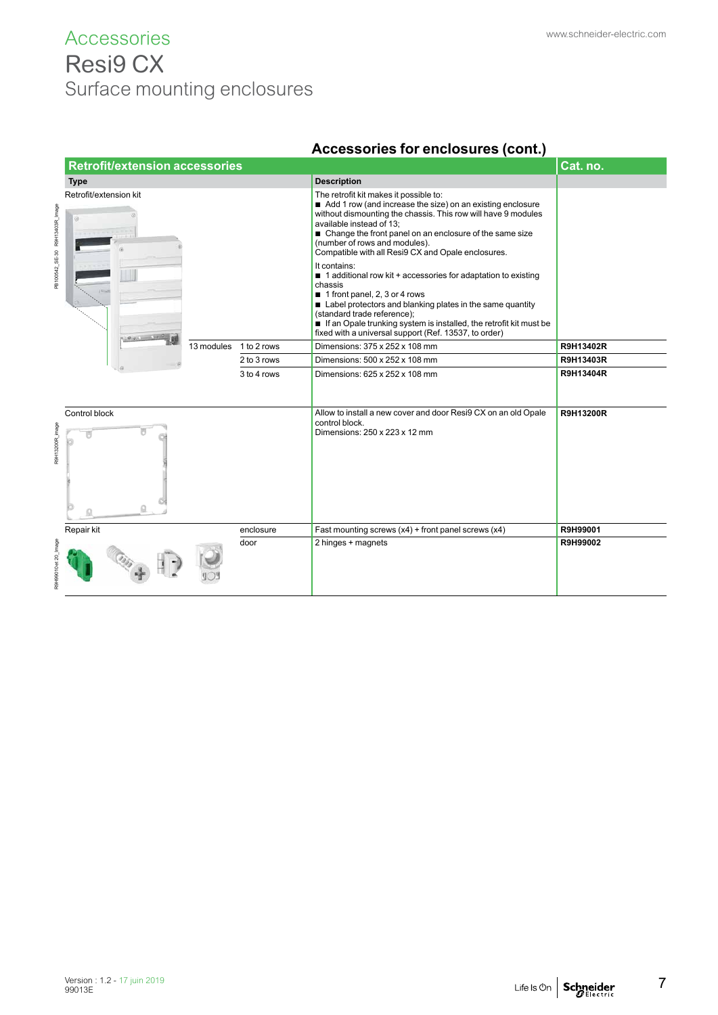### Accessories www.schneider-electric.com Resi9 CX Surface mounting enclosures

|                                | <b>Retrofit/extension accessories</b> |            |             | Cat. no.                                                                                                                                                                                                                                                                                                                                                            |                  |
|--------------------------------|---------------------------------------|------------|-------------|---------------------------------------------------------------------------------------------------------------------------------------------------------------------------------------------------------------------------------------------------------------------------------------------------------------------------------------------------------------------|------------------|
|                                | <b>Type</b>                           |            |             | <b>Description</b>                                                                                                                                                                                                                                                                                                                                                  |                  |
| PB100542_SE-30 R9H13403R_Image | Retrofit/extension kit<br>ø.          |            |             | The retrofit kit makes it possible to:<br>Add 1 row (and increase the size) on an existing enclosure<br>without dismounting the chassis. This row will have 9 modules<br>available instead of 13;<br>■ Change the front panel on an enclosure of the same size<br>(number of rows and modules).<br>Compatible with all Resi9 CX and Opale enclosures.               |                  |
|                                |                                       |            |             | It contains:<br>$\blacksquare$ 1 additional row kit + accessories for adaptation to existing<br>chassis<br>1 front panel, 2, 3 or 4 rows<br>Label protectors and blanking plates in the same quantity<br>(standard trade reference);<br>If an Opale trunking system is installed, the retrofit kit must be<br>fixed with a universal support (Ref. 13537, to order) |                  |
|                                |                                       | 13 modules | 1 to 2 rows | Dimensions: 375 x 252 x 108 mm                                                                                                                                                                                                                                                                                                                                      | R9H13402R        |
|                                |                                       |            | 2 to 3 rows | Dimensions: 500 x 252 x 108 mm                                                                                                                                                                                                                                                                                                                                      | R9H13403R        |
|                                |                                       |            | 3 to 4 rows | Dimensions: 625 x 252 x 108 mm                                                                                                                                                                                                                                                                                                                                      | R9H13404R        |
| R9H13200R_image                | Control block                         |            |             | Allow to install a new cover and door Resi9 CX on an old Opale<br>control block.<br>Dimensions: 250 x 223 x 12 mm                                                                                                                                                                                                                                                   | <b>R9H13200R</b> |
|                                | Repair kit                            |            | enclosure   | Fast mounting screws $(x4)$ + front panel screws $(x4)$                                                                                                                                                                                                                                                                                                             | R9H99001         |
| R9H99010 et 20_Image           |                                       |            | door        | 2 hinges + magnets                                                                                                                                                                                                                                                                                                                                                  | R9H99002         |

### **Accessories for enclosures (cont.)**